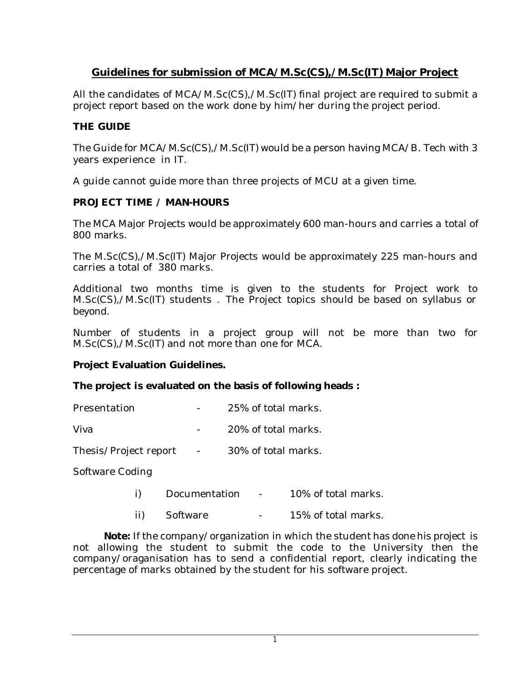# **Guidelines for submission of MCA/M.Sc(CS),/M.Sc(IT) Major Project**

All the candidates of MCA/M.Sc(CS),/M.Sc(IT) final project are required to submit a project report based on the work done by him/her during the project period.

## **THE GUIDE**

The Guide for MCA/M.Sc(CS),/M.Sc(IT) would be a person having MCA/B. Tech with 3 years experience in IT.

A guide cannot guide more than three projects of MCU at a given time.

## **PROJECT TIME / MAN-HOURS**

The MCA Major Projects would be approximately 600 man-hours and carries a total of 800 marks.

The M.Sc(CS),/M.Sc(IT) Major Projects would be approximately 225 man-hours and carries a total of 380 marks.

Additional two months time is given to the students for Project work to M.Sc(CS),/M.Sc(IT) students . The Project topics should be based on syllabus or beyond.

Number of students in a project group will not be more than two for M.Sc(CS),/M.Sc(IT) and not more than one for MCA.

## **Project Evaluation Guidelines.**

## **The project is evaluated on the basis of following heads :**

Viva  $-$  20% of total marks.

Thesis/Project report - 30% of total marks.

Software Coding

- i) Documentation 10% of total marks.
- ii) Software 15% of total marks.

**Note:** If the company/organization in which the student has done his project is not allowing the student to submit the code to the University then the company/oraganisation has to send a confidential report, clearly indicating the percentage of marks obtained by the student for his software project.

1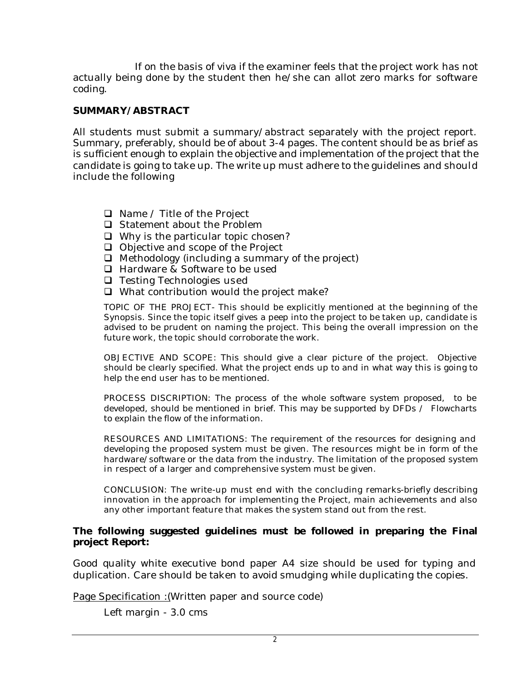If on the basis of viva if the examiner feels that the project work has not actually being done by the student then he/she can allot zero marks for software coding.

## **SUMMARY/ABSTRACT**

All students must submit a summary/abstract separately with the project report. Summary, preferably, should be of about 3-4 pages. The content should be as brief as is sufficient enough to explain the objective and implementation of the project that the candidate is going to take up. The write up must adhere to the guidelines and should include the following

- $\Box$  Name / Title of the Project
- $\Box$  Statement about the Problem
- $\Box$  Why is the particular topic chosen?
- $\Box$  Objective and scope of the Project
- $\Box$  Methodology (including a summary of the project)
- $\Box$  Hardware & Software to be used
- $\Box$  Testing Technologies used
- $\Box$  What contribution would the project make?

TOPIC OF THE PROJECT- This should be explicitly mentioned at the beginning of the Synopsis. Since the topic itself gives a peep into the project to be taken up, candidate is advised to be prudent on naming the project. This being the overall impression on the future work, the topic should corroborate the work.

OBJECTIVE AND SCOPE: This should give a clear picture of the project. Objective should be clearly specified. What the project ends up to and in what way this is going to help the end user has to be mentioned.

PROCESS DISCRIPTION: The process of the whole software system proposed, to be developed, should be mentioned in brief. This may be supported by DFDs / Flowcharts to explain the flow of the information.

RESOURCES AND LIMITATIONS: The requirement of the resources for designing and developing the proposed system must be given. The resources might be in form of the hardware/software or the data from the industry. The limitation of the proposed system in respect of a larger and comprehensive system must be given.

CONCLUSION: The write-up must end with the concluding remarks-briefly describing innovation in the approach for implementing the Project, main achievements and also any other important feature that makes the system stand out from the rest.

#### **The following suggested guidelines must be followed in preparing the Final project Report:**

Good quality white executive bond paper A4 size should be used for typing and duplication. Care should be taken to avoid smudging while duplicating the copies.

Page Specification : (Written paper and source code)

Left margin - 3.0 cms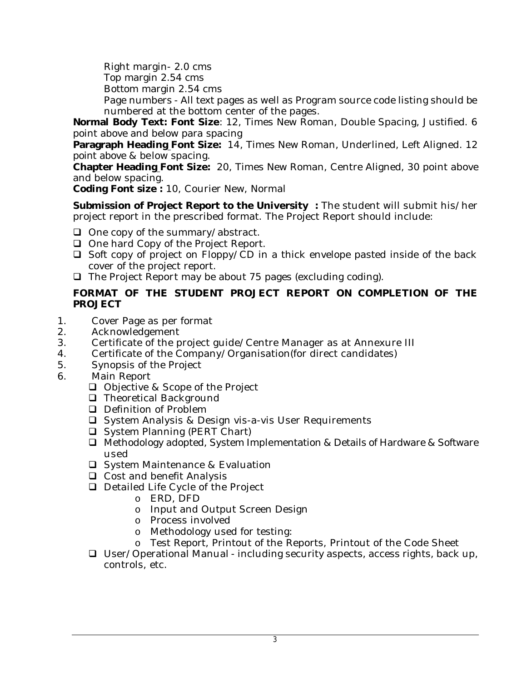Right margin- 2.0 cms

Top margin 2.54 cms

Bottom margin 2.54 cms

Page numbers - All text pages as well as Program source code listing should be numbered at the bottom center of the pages.

**Normal Body Text: Font Size**: 12, Times New Roman, Double Spacing, Justified. 6 point above and below para spacing

**Paragraph Heading Font Size:** 14, Times New Roman, Underlined, Left Aligned. 12 point above & below spacing.

**Chapter Heading Font Size:** 20, Times New Roman, Centre Aligned, 30 point above and below spacing.

**Coding Font size :** 10, Courier New, Normal

**Submission of Project Report to the University:** The student will submit his/her project report in the prescribed format. The Project Report should include:

- $\Box$  One copy of the summary/abstract.
- $\Box$  One hard Copy of the Project Report.
- $\Box$  Soft copy of project on Floppy/CD in a thick envelope pasted inside of the back cover of the project report.
- $\Box$  The Project Report may be about 75 pages (excluding coding).

## **FORMAT OF THE STUDENT PROJECT REPORT ON COMPLETION OF THE PROJECT**

- 1. Cover Page as per format
- 2. Acknowledgement
- 3. Certificate of the project guide/Centre Manager as at Annexure III
- 4. Certificate of the Company/Organisation(for direct candidates)
- 5. Synopsis of the Project
- 6. Main Report
	- $\Box$  Objective & Scope of the Project
	- □ Theoretical Background
	- $\Box$  Definition of Problem
	- $\Box$  System Analysis & Design vis-a-vis User Requirements
	- $\Box$  System Planning (PERT Chart)
	- $\Box$  Methodology adopted, System Implementation & Details of Hardware & Software used
	- $\Box$  System Maintenance & Evaluation
	- $\Box$  Cost and benefit Analysis
	- $\Box$  Detailed Life Cycle of the Project
		- o ERD, DFD
		- o Input and Output Screen Design
		- o Process involved
		- o Methodology used for testing:
		- o Test Report, Printout of the Reports, Printout of the Code Sheet
	- $\Box$  User/Operational Manual including security aspects, access rights, back up, controls, etc.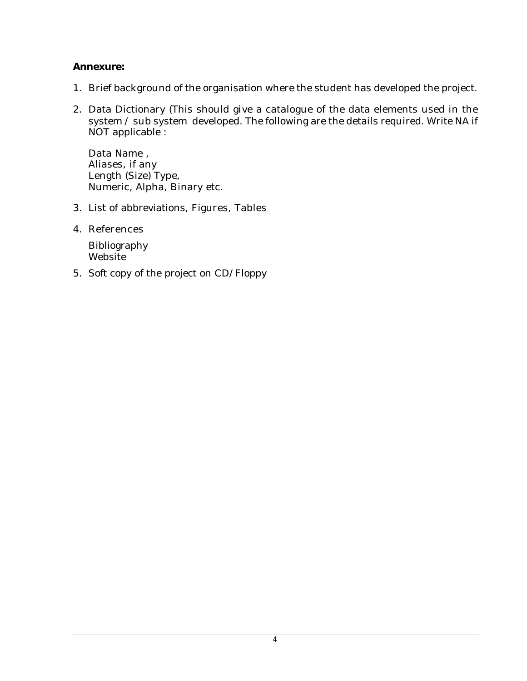## **Annexure:**

- 1. Brief background of the organisation where the student has developed the project.
- 2. Data Dictionary (This should give a catalogue of the data elements used in the system / sub system developed. The following are the details required. Write NA if NOT applicable :

Data Name , Aliases, if any Length (Size) Type, Numeric, Alpha, Binary etc.

- 3. List of abbreviations, Figures, Tables
- 4. References

Bibliography Website

5. Soft copy of the project on CD/Floppy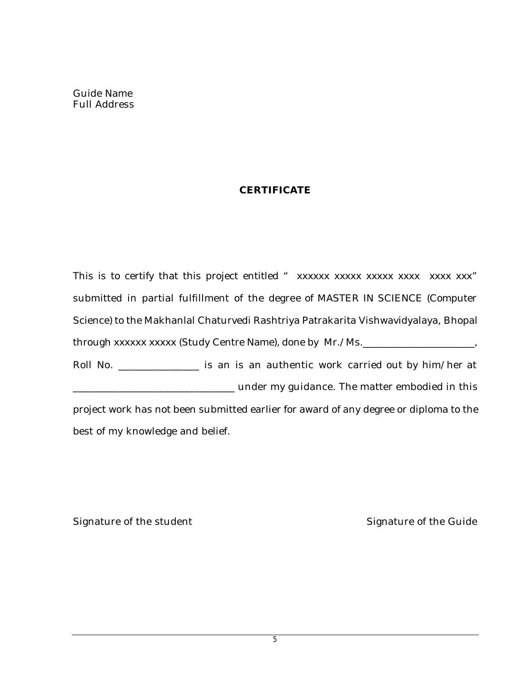Guide Name Full Address

## **CERTIFICATE**

This is to certify that this project entitled "  $xxxxxx$   $xxxx$   $xxxx$   $xxxx$   $xxxx$   $xxx$ " submitted in partial fulfillment of the degree of MASTER IN SCIENCE (Computer Science) to the Makhanlal Chaturvedi Rashtriya Patrakarita Vishwavidyalaya, Bhopal through xxxxxx xxxxx (Study Centre Name), done by Mr./Ms.

Roll No. \_\_\_\_\_\_\_\_\_\_\_\_\_\_\_\_ is an is an authentic work carried out by him/her at \_\_\_\_\_\_\_\_\_\_\_\_\_\_\_\_\_\_\_\_\_\_\_\_\_\_\_\_\_\_\_\_ under my guidance. The matter embodied in this project work has not been submitted earlier for award of any degree or diploma to the best of my knowledge and belief.

Signature of the student Signature of the Guide

5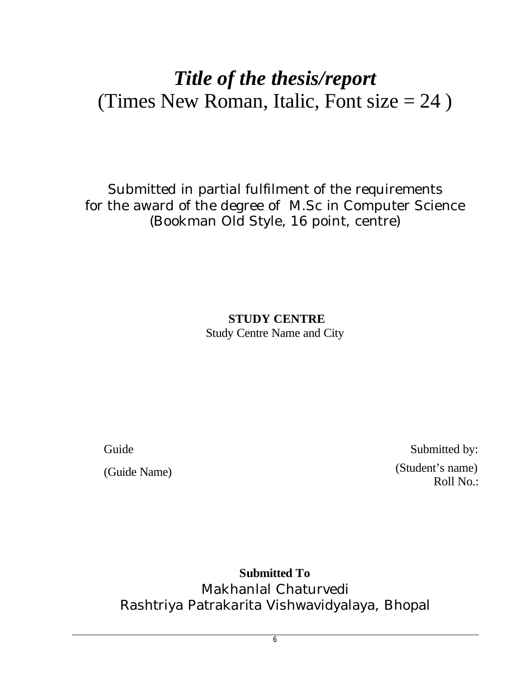# *Title of the thesis/report* (Times New Roman, Italic, Font size  $= 24$ )

Submitted in partial fulfilment of the requirements for the award of the degree of M.Sc in Computer Science (Bookman Old Style, 16 point, centre)

> **STUDY CENTRE** Study Centre Name and City

Guide Submitted by: (Guide Name) (Student's name) Roll No.:

**Submitted To** Makhanlal Chaturvedi Rashtriya Patrakarita Vishwavidyalaya, Bhopal

6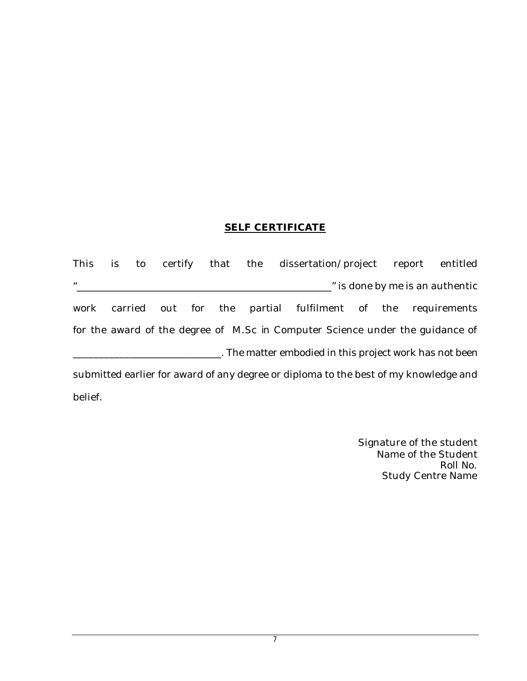#### **SELF CERTIFICATE**

This is to certify that the dissertation/project report entitled "\_\_\_\_\_\_\_\_\_\_\_\_\_\_\_\_\_\_\_\_\_\_\_\_\_\_\_\_\_\_\_\_\_\_\_\_\_\_\_\_\_\_\_\_\_\_\_\_\_\_\_" is done by me is an authentic work carried out for the partial fulfilment of the requirements for the award of the degree of M.Sc in Computer Science under the guidance of \_\_\_\_\_\_\_\_\_\_\_\_\_\_\_\_\_\_\_\_\_\_\_\_\_\_\_\_\_\_. The matter embodied in this project work has not been submitted earlier for award of any degree or diploma to the best of my knowledge and belief.

> Signature of the student Name of the Student Roll No. Study Centre Name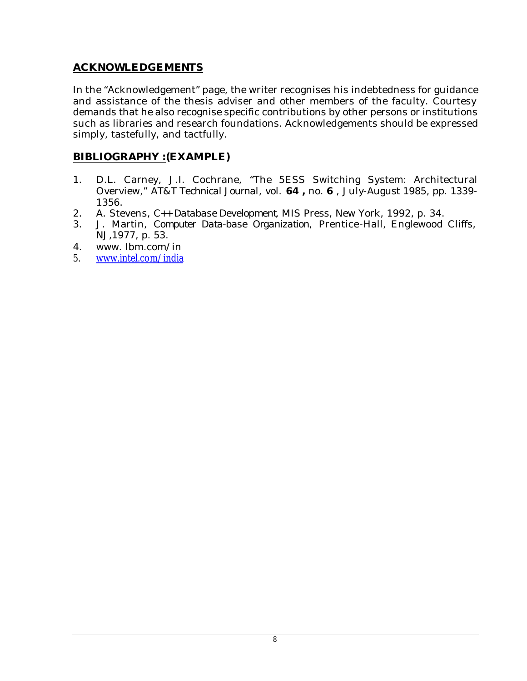## **ACKNOWLEDGEMENTS**

In the "Acknowledgement" page, the writer recognises his indebtedness for guidance and assistance of the thesis adviser and other members of the faculty. Courtesy demands that he also recognise specific contributions by other persons or institutions such as libraries and research foundations. Acknowledgements should be expressed simply, tastefully, and tactfully.

## **BIBLIOGRAPHY :(EXAMPLE)**

- 1. D.L. Carney, J.I. Cochrane, "The 5ESS Switching System: Architectural Overview," *AT&T Technical Journal*, vol. **64 ,** no. **6** , July-August 1985, pp. 1339- 1356.
- 2. A. Stevens, *C++ Database Development*, MIS Press, New York, 1992, p. 34.
- 3. J. Martin, *Computer Data-base Organization*, Prentice-Hall, Englewood Cliffs, NJ,1977, p. 53.
- 4. www. Ibm.com/in
- 5. www.intel.com/india